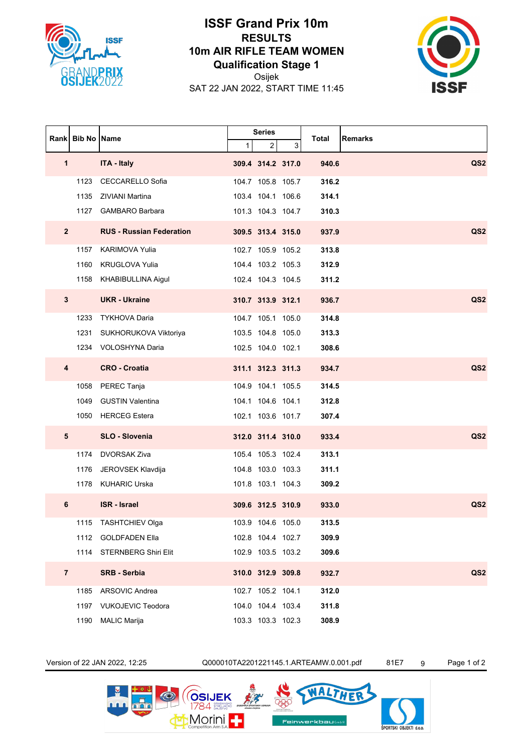

## **ISSF Grand Prix 10m RESULTS 10m AIR RIFLE TEAM WOMEN Qualification Stage 1**

Osijek

SAT 22 JAN 2022, START TIME 11:45



| Rankl          | <b>Bib No   Name</b> |                                 | Series       |                   |   | Total | <b>Remarks</b>  |
|----------------|----------------------|---------------------------------|--------------|-------------------|---|-------|-----------------|
|                |                      |                                 | $\mathbf{1}$ | 2                 | 3 |       |                 |
| 1              |                      | <b>ITA - Italy</b>              |              | 309.4 314.2 317.0 |   | 940.6 | QS <sub>2</sub> |
|                | 1123                 | CECCARELLO Sofia                |              | 104.7 105.8 105.7 |   | 316.2 |                 |
|                | 1135                 | ZIVIANI Martina                 |              | 103.4 104.1 106.6 |   | 314.1 |                 |
|                | 1127                 | <b>GAMBARO Barbara</b>          |              | 101.3 104.3 104.7 |   | 310.3 |                 |
| $\mathbf{2}$   |                      | <b>RUS - Russian Federation</b> |              | 309.5 313.4 315.0 |   | 937.9 | QS <sub>2</sub> |
|                | 1157                 | <b>KARIMOVA Yulia</b>           |              | 102.7 105.9 105.2 |   | 313.8 |                 |
|                | 1160                 | <b>KRUGLOVA Yulia</b>           |              | 104.4 103.2 105.3 |   | 312.9 |                 |
|                |                      | 1158 KHABIBULLINA Aigul         |              | 102.4 104.3 104.5 |   | 311.2 |                 |
| $\mathbf{3}$   |                      | <b>UKR</b> - Ukraine            |              | 310.7 313.9 312.1 |   | 936.7 | QS <sub>2</sub> |
|                | 1233                 | <b>TYKHOVA Daria</b>            |              | 104.7 105.1 105.0 |   | 314.8 |                 |
|                | 1231                 | SUKHORUKOVA Viktoriya           |              | 103.5 104.8 105.0 |   | 313.3 |                 |
|                | 1234                 | VOLOSHYNA Daria                 |              | 102.5 104.0 102.1 |   | 308.6 |                 |
| 4              |                      | <b>CRO - Croatia</b>            |              | 311.1 312.3 311.3 |   | 934.7 | QS <sub>2</sub> |
|                | 1058                 | PEREC Tanja                     |              | 104.9 104.1 105.5 |   | 314.5 |                 |
|                | 1049                 | <b>GUSTIN Valentina</b>         |              | 104.1 104.6 104.1 |   | 312.8 |                 |
|                |                      | 1050 HERCEG Estera              |              | 102.1 103.6 101.7 |   | 307.4 |                 |
| 5              |                      | SLO - Slovenia                  |              | 312.0 311.4 310.0 |   | 933.4 | QS <sub>2</sub> |
|                | 1174                 | <b>DVORSAK Ziva</b>             |              | 105.4 105.3 102.4 |   | 313.1 |                 |
|                | 1176                 | JEROVSEK Klavdija               |              | 104.8 103.0 103.3 |   | 311.1 |                 |
|                |                      | 1178 KUHARIC Urska              |              | 101.8 103.1 104.3 |   | 309.2 |                 |
| 6              |                      | <b>ISR</b> - Israel             |              | 309.6 312.5 310.9 |   | 933.0 | QS <sub>2</sub> |
|                | 1115                 | <b>TASHTCHIEV Olga</b>          |              | 103.9 104.6 105.0 |   | 313.5 |                 |
|                | 1112                 | <b>GOLDFADEN Ella</b>           |              | 102.8 104.4 102.7 |   | 309.9 |                 |
|                |                      | 1114 STERNBERG Shiri Elit       |              | 102.9 103.5 103.2 |   | 309.6 |                 |
| $\overline{7}$ |                      | <b>SRB - Serbia</b>             |              | 310.0 312.9 309.8 |   | 932.7 | QS <sub>2</sub> |
|                | 1185                 | <b>ARSOVIC Andrea</b>           |              | 102.7 105.2 104.1 |   | 312.0 |                 |
|                | 1197                 | <b>VUKOJEVIC Teodora</b>        |              | 104.0 104.4 103.4 |   | 311.8 |                 |
|                | 1190                 | <b>MALIC Marija</b>             |              | 103.3 103.3 102.3 |   | 308.9 |                 |

Version of 22 JAN 2022, 12:25 Q000010TA2201221145.1.ARTEAMW.0.001.pdf 81E7 9 Page 1 of 2